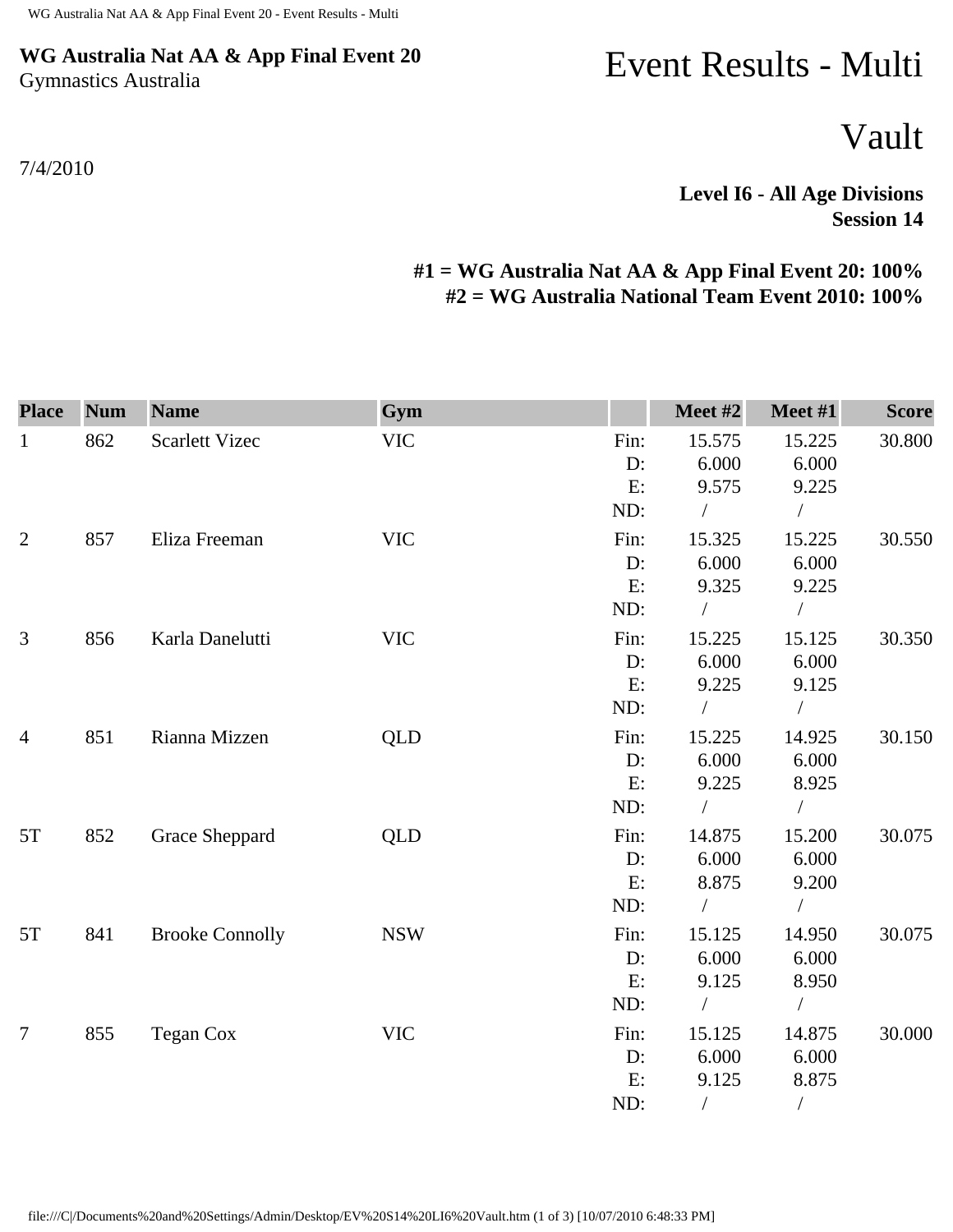## **WG Australia Nat AA & App Final Event 20** Gymnastics Australia

## 7/4/2010

## Event Results - Multi

Vault

**Level I6 - All Age Divisions Session 14** 

## **#1 = WG Australia Nat AA & App Final Event 20: 100% #2 = WG Australia National Team Event 2010: 100%**

| <b>Place</b>   | <b>Num</b> | <b>Name</b>            | Gym        |       | Meet #2    | Meet #1       | <b>Score</b> |
|----------------|------------|------------------------|------------|-------|------------|---------------|--------------|
| $\mathbf{1}$   | 862        | <b>Scarlett Vizec</b>  | <b>VIC</b> | Fin:  | 15.575     | 15.225        | 30.800       |
|                |            |                        |            | D:    | 6.000      | 6.000         |              |
|                |            |                        |            | E:    | 9.575      | 9.225         |              |
|                |            |                        |            | ND:   | $\sqrt{2}$ | $\sqrt{2}$    |              |
| $\overline{2}$ | 857        | Eliza Freeman          | <b>VIC</b> | Fin:  | 15.325     | 15.225        | 30.550       |
|                |            |                        |            | $D$ : | 6.000      | 6.000         |              |
|                |            |                        |            | E:    | 9.325      | 9.225         |              |
|                |            |                        |            | ND:   | $\sqrt{2}$ | $\sqrt{2}$    |              |
| 3              | 856        | Karla Danelutti        | <b>VIC</b> | Fin:  | 15.225     | 15.125        | 30.350       |
|                |            |                        |            | $D$ : | 6.000      | 6.000         |              |
|                |            |                        |            | E:    | 9.225      | 9.125         |              |
|                |            |                        |            | ND:   |            | $\sqrt{2}$    |              |
| $\overline{4}$ | 851        | Rianna Mizzen          | <b>QLD</b> | Fin:  | 15.225     | 14.925        | 30.150       |
|                |            |                        |            | D:    | 6.000      | 6.000         |              |
|                |            |                        |            | E:    | 9.225      | 8.925         |              |
|                |            |                        |            | ND:   |            | $\bigg)$      |              |
| 5T             | 852        | Grace Sheppard         | <b>QLD</b> | Fin:  | 14.875     | 15.200        | 30.075       |
|                |            |                        |            | D:    | 6.000      | 6.000         |              |
|                |            |                        |            | E:    | 8.875      | 9.200         |              |
|                |            |                        |            | ND:   | $\sqrt{2}$ |               |              |
| 5T             | 841        | <b>Brooke Connolly</b> | <b>NSW</b> | Fin:  | 15.125     | 14.950        | 30.075       |
|                |            |                        |            | D:    | 6.000      | 6.000         |              |
|                |            |                        |            | E:    | 9.125      | 8.950         |              |
|                |            |                        |            | ND:   |            |               |              |
| $\overline{7}$ | 855        | Tegan Cox              | <b>VIC</b> | Fin:  | 15.125     | 14.875        | 30.000       |
|                |            |                        |            | D:    | 6.000      | 6.000         |              |
|                |            |                        |            | E:    | 9.125      | 8.875         |              |
|                |            |                        |            | ND:   | $\sqrt{2}$ | $\frac{1}{2}$ |              |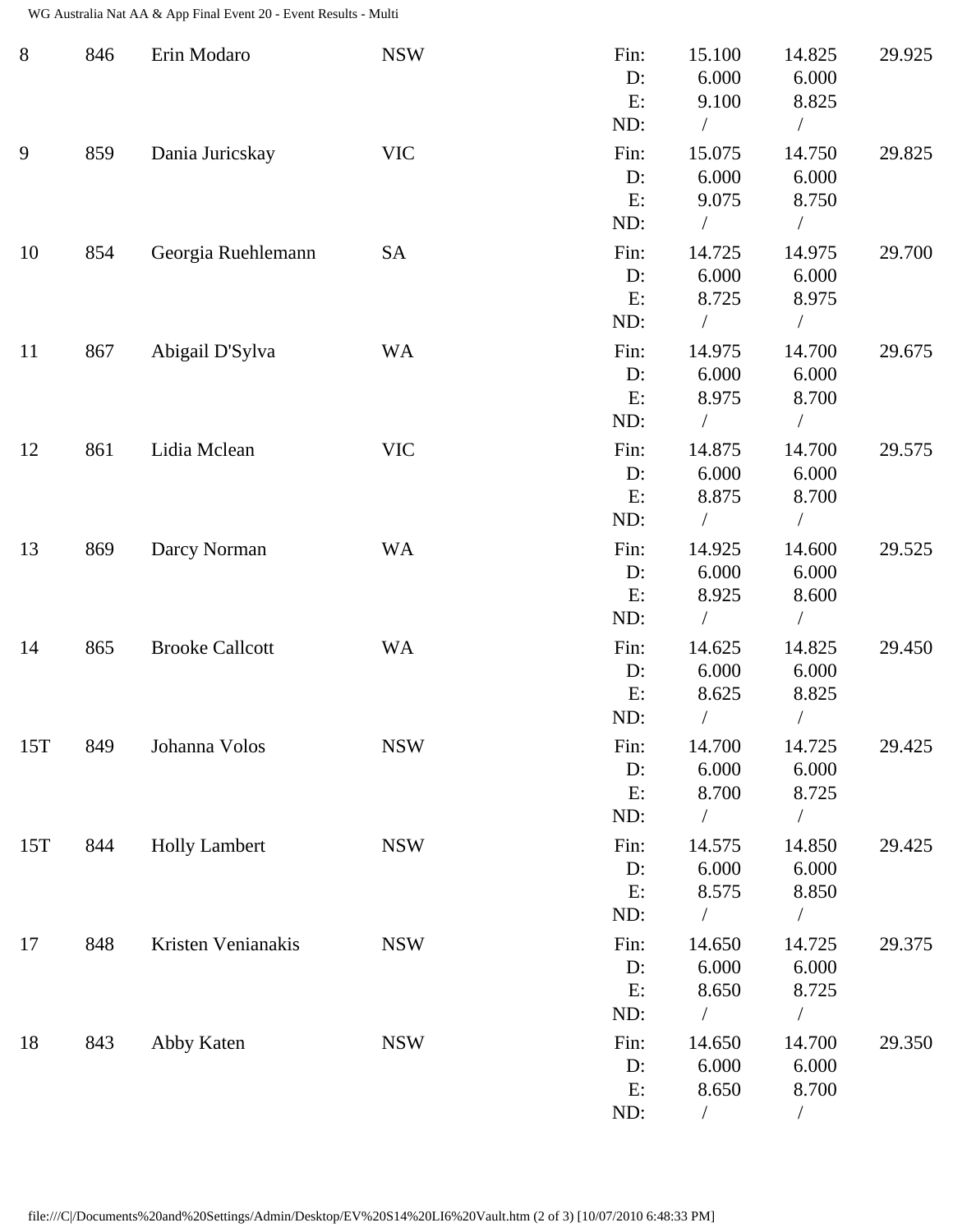WG Australia Nat AA & App Final Event 20 - Event Results - Multi

| $8\phantom{1}$ | 846 | Erin Modaro            | <b>NSW</b> | Fin:<br>D:<br>E:               | 15.100<br>6.000<br>9.100               | 14.825<br>6.000<br>8.825                                 | 29.925 |
|----------------|-----|------------------------|------------|--------------------------------|----------------------------------------|----------------------------------------------------------|--------|
| 9              | 859 | Dania Juricskay        | <b>VIC</b> | ND:<br>Fin:<br>D:<br>E:<br>ND: | $\sqrt{2}$<br>15.075<br>6.000<br>9.075 | $\sqrt{2}$<br>14.750<br>6.000<br>8.750<br>$\overline{1}$ | 29.825 |
| 10             | 854 | Georgia Ruehlemann     | <b>SA</b>  | Fin:<br>D:<br>E:<br>ND:        | 14.725<br>6.000<br>8.725               | 14.975<br>6.000<br>8.975<br>$\sqrt{2}$                   | 29.700 |
| 11             | 867 | Abigail D'Sylva        | <b>WA</b>  | Fin:<br>D:<br>E:<br>ND:        | 14.975<br>6.000<br>8.975<br>$\sqrt{2}$ | 14.700<br>6.000<br>8.700<br>$\sqrt{2}$                   | 29.675 |
| 12             | 861 | Lidia Mclean           | <b>VIC</b> | Fin:<br>D:<br>E:<br>ND:        | 14.875<br>6.000<br>8.875               | 14.700<br>6.000<br>8.700<br>$\sqrt{2}$                   | 29.575 |
| 13             | 869 | Darcy Norman           | <b>WA</b>  | Fin:<br>D:<br>E:<br>ND:        | 14.925<br>6.000<br>8.925               | 14.600<br>6.000<br>8.600<br>$\sqrt{2}$                   | 29.525 |
| 14             | 865 | <b>Brooke Callcott</b> | <b>WA</b>  | Fin:<br>D:<br>E:<br>ND:        | 14.625<br>6.000<br>8.625               | 14.825<br>6.000<br>8.825                                 | 29.450 |
| 15T            | 849 | Johanna Volos          | <b>NSW</b> | Fin:<br>D:<br>E:<br>ND:        | 14.700<br>6.000<br>8.700<br>$\sqrt{2}$ | 14.725<br>6.000<br>8.725<br>$\sqrt{2}$                   | 29.425 |
| 15T            | 844 | <b>Holly Lambert</b>   | <b>NSW</b> | Fin:<br>D:<br>E:<br>ND:        | 14.575<br>6.000<br>8.575<br>$\sqrt{2}$ | 14.850<br>6.000<br>8.850<br>$\sqrt{2}$                   | 29.425 |
| 17             | 848 | Kristen Venianakis     | <b>NSW</b> | Fin:<br>D:<br>E:<br>ND:        | 14.650<br>6.000<br>8.650               | 14.725<br>6.000<br>8.725<br>$\sqrt{2}$                   | 29.375 |
| 18             | 843 | Abby Katen             | <b>NSW</b> | Fin:<br>D:<br>E:<br>ND:        | 14.650<br>6.000<br>8.650<br>$\sqrt{2}$ | 14.700<br>6.000<br>8.700<br>$\sqrt{2}$                   | 29.350 |